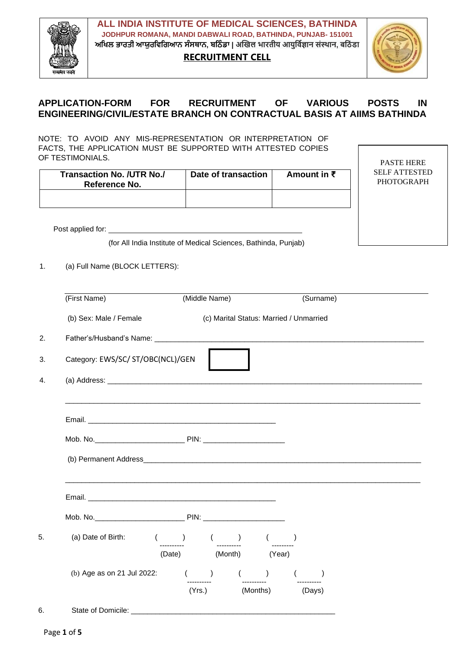

**ALL INDIA INSTITUTE OF MEDICAL SCIENCES, BATHINDA JODHPUR ROMANA, MANDI DABWALI ROAD, BATHINDA, PUNJAB- 151001 ਅਖਿਲ ਭਾਰਤੀ ਆਯੁਰਖਿਖਿਆਨ ਸੰਸਥਾਨ, ਬਖ ੰ ਡਾ | अखिल भारतीय आयुर्विज्ञान संस्थान, बर् ं डा**

**RECRUITMENT CELL**



# **APPLICATION-FORM FOR RECRUITMENT OF VARIOUS POSTS IN ENGINEERING/CIVIL/ESTATE BRANCH ON CONTRACTUAL BASIS AT AIIMS BATHINDA**

NOTE: TO AVOID ANY MIS-REPRESENTATION OR INTERPRETATION OF FACTS, THE APPLICATION MUST BE SUPPORTED WITH ATTESTED COPIES OF TESTIMONIALS.

| Transaction No. /UTR No./<br>Reference No. | Date of transaction | Amount in $\bar{z}$ |
|--------------------------------------------|---------------------|---------------------|
|                                            |                     |                     |

PASTE HERE SELF ATTESTED PHOTOGRAPH

Post applied for:

(for All India Institute of Medical Sciences, Bathinda, Punjab)

1. (a) Full Name (BLOCK LETTERS):

|    | (First Name)                               |                       | (Middle Name) |                                         |  | (Surname) |  |
|----|--------------------------------------------|-----------------------|---------------|-----------------------------------------|--|-----------|--|
|    | (b) Sex: Male / Female                     |                       |               | (c) Marital Status: Married / Unmarried |  |           |  |
| 2. |                                            |                       |               |                                         |  |           |  |
| 3. | Category: EWS/SC/ ST/OBC(NCL)/GEN          |                       |               |                                         |  |           |  |
| 4. |                                            |                       |               |                                         |  |           |  |
|    |                                            |                       |               |                                         |  |           |  |
|    |                                            |                       |               |                                         |  |           |  |
|    |                                            |                       |               |                                         |  |           |  |
|    |                                            |                       |               |                                         |  |           |  |
|    |                                            |                       |               |                                         |  |           |  |
|    | (a) Date of Birth: ( ( ) ( ) ( )           |                       |               |                                         |  |           |  |
|    |                                            | (Date) (Month) (Year) |               |                                         |  |           |  |
|    | (b) Age as on 21 Jul 2022: $($ $)$ $($ $)$ |                       |               |                                         |  |           |  |
|    |                                            |                       |               | (Yrs.) (Months) (Days)                  |  |           |  |
| 6. |                                            |                       |               |                                         |  |           |  |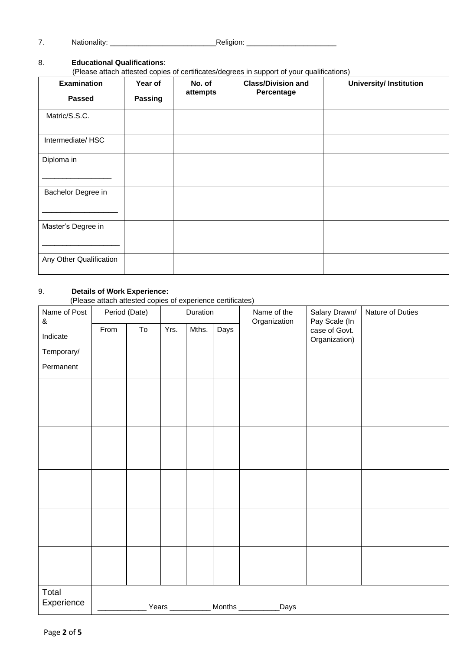7. Nationality: \_\_\_\_\_\_\_\_\_\_\_\_\_\_\_\_\_\_\_\_\_\_\_\_\_\_Religion: \_\_\_\_\_\_\_\_\_\_\_\_\_\_\_\_\_\_\_\_\_\_

#### 8. **Educational Qualifications**:

(Please attach attested copies of certificates/degrees in support of your qualifications)

| <b>Examination</b>      | Year of | No. of   | <b>Class/Division and</b> | <b>University/Institution</b> |  |  |
|-------------------------|---------|----------|---------------------------|-------------------------------|--|--|
| <b>Passed</b>           | Passing | attempts | Percentage                |                               |  |  |
| Matric/S.S.C.           |         |          |                           |                               |  |  |
| Intermediate/HSC        |         |          |                           |                               |  |  |
| Diploma in              |         |          |                           |                               |  |  |
| Bachelor Degree in      |         |          |                           |                               |  |  |
| Master's Degree in      |         |          |                           |                               |  |  |
| Any Other Qualification |         |          |                           |                               |  |  |

#### 9. **Details of Work Experience:**

(Please attach attested copies of experience certificates)

| Name of Post<br>$\&$ | Period (Date) |    | Duration |       |      | Name of the<br>Organization                 | Salary Drawn/<br>Pay Scale (In | Nature of Duties |  |
|----------------------|---------------|----|----------|-------|------|---------------------------------------------|--------------------------------|------------------|--|
| Indicate             | From          | To | Yrs.     | Mths. | Days |                                             | case of Govt.<br>Organization) |                  |  |
| Temporary/           |               |    |          |       |      |                                             |                                |                  |  |
| Permanent            |               |    |          |       |      |                                             |                                |                  |  |
|                      |               |    |          |       |      |                                             |                                |                  |  |
|                      |               |    |          |       |      |                                             |                                |                  |  |
|                      |               |    |          |       |      |                                             |                                |                  |  |
|                      |               |    |          |       |      |                                             |                                |                  |  |
|                      |               |    |          |       |      |                                             |                                |                  |  |
|                      |               |    |          |       |      |                                             |                                |                  |  |
|                      |               |    |          |       |      |                                             |                                |                  |  |
|                      |               |    |          |       |      |                                             |                                |                  |  |
|                      |               |    |          |       |      |                                             |                                |                  |  |
|                      |               |    |          |       |      |                                             |                                |                  |  |
|                      |               |    |          |       |      |                                             |                                |                  |  |
|                      |               |    |          |       |      |                                             |                                |                  |  |
|                      |               |    |          |       |      |                                             |                                |                  |  |
| Total<br>Experience  |               |    |          |       |      | Years ___________ Months _________<br>_Days |                                |                  |  |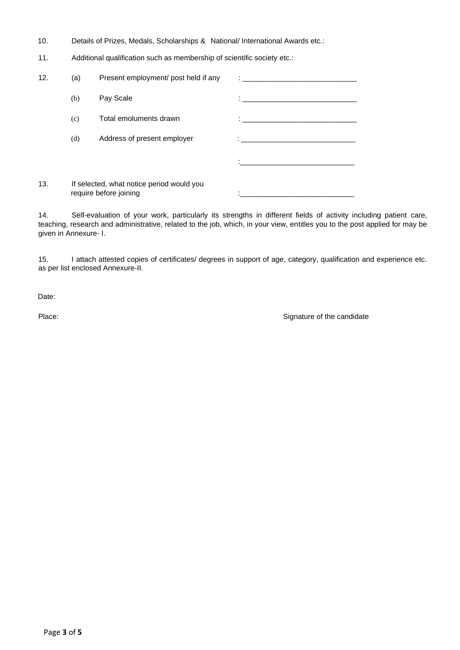- 10. Details of Prizes, Medals, Scholarships & National/ International Awards etc.:
- 11. Additional qualification such as membership of scientific society etc.:

| 12. | (a) | Present employment/ post held if any                                | $\ddot{\cdot}$ . The contract of the contract of the contract of the contract of the contract of the contract of the contract of the contract of the contract of the contract of the contract of the contract of the contract of th |
|-----|-----|---------------------------------------------------------------------|-------------------------------------------------------------------------------------------------------------------------------------------------------------------------------------------------------------------------------------|
|     | (b) | Pay Scale                                                           | the control of the control of the control of the control of the control of                                                                                                                                                          |
|     | (c) | Total emoluments drawn                                              |                                                                                                                                                                                                                                     |
|     | (d) | Address of present employer                                         |                                                                                                                                                                                                                                     |
|     |     |                                                                     |                                                                                                                                                                                                                                     |
| 13. |     | If selected, what notice period would you<br>require before joining |                                                                                                                                                                                                                                     |

14. Self-evaluation of your work, particularly its strengths in different fields of activity including patient care, teaching, research and administrative, related to the job, which, in your view, entitles you to the post applied for may be given in Annexure- I.

15. I attach attested copies of certificates/ degrees in support of age, category, qualification and experience etc. as per list enclosed Annexure-II.

Date:

Place: Place: Signature of the candidate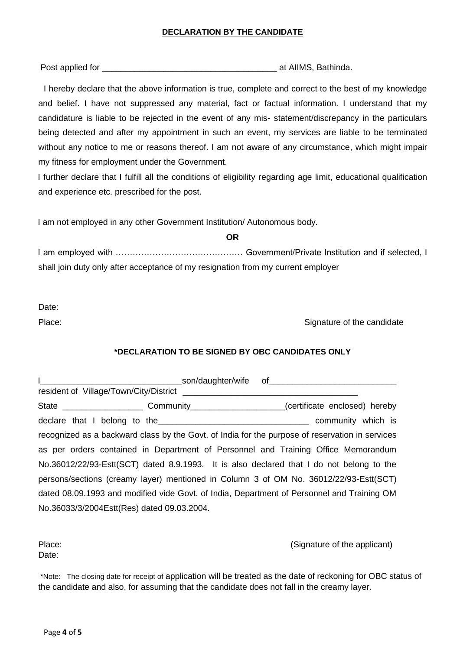## **DECLARATION BY THE CANDIDATE**

Post applied for \_\_\_\_\_\_\_\_\_\_\_\_\_\_\_\_\_\_\_\_\_\_\_\_\_\_\_\_\_\_\_\_\_\_\_\_\_ at AIIMS, Bathinda.

I hereby declare that the above information is true, complete and correct to the best of my knowledge and belief. I have not suppressed any material, fact or factual information. I understand that my candidature is liable to be rejected in the event of any mis- statement/discrepancy in the particulars being detected and after my appointment in such an event, my services are liable to be terminated without any notice to me or reasons thereof. I am not aware of any circumstance, which might impair my fitness for employment under the Government.

I further declare that I fulfill all the conditions of eligibility regarding age limit, educational qualification and experience etc. prescribed for the post.

I am not employed in any other Government Institution/ Autonomous body.

I am employed with ……………………………………… Government/Private Institution and if selected, I shall join duty only after acceptance of my resignation from my current employer

**OR**

Date:

Place: Signature of the candidate

## **\*DECLARATION TO BE SIGNED BY OBC CANDIDATES ONLY**

|                                                                                                 | <b>Example 2018 Son/daughter/wife of the contract of the contract of the contract of the contract of the contract of the contract of the contract of the contract of the contract of the contract of the contract of the contrac</b> |  |  |  |  |
|-------------------------------------------------------------------------------------------------|--------------------------------------------------------------------------------------------------------------------------------------------------------------------------------------------------------------------------------------|--|--|--|--|
| resident of Village/Town/City/District                                                          |                                                                                                                                                                                                                                      |  |  |  |  |
| State _______________________Community______________________(certificate enclosed) hereby       |                                                                                                                                                                                                                                      |  |  |  |  |
| declare that I belong to the the community which is                                             |                                                                                                                                                                                                                                      |  |  |  |  |
| recognized as a backward class by the Govt. of India for the purpose of reservation in services |                                                                                                                                                                                                                                      |  |  |  |  |
| as per orders contained in Department of Personnel and Training Office Memorandum               |                                                                                                                                                                                                                                      |  |  |  |  |
| No.36012/22/93-Estt(SCT) dated 8.9.1993. It is also declared that I do not belong to the        |                                                                                                                                                                                                                                      |  |  |  |  |
| persons/sections (creamy layer) mentioned in Column 3 of OM No. 36012/22/93-Estt(SCT)           |                                                                                                                                                                                                                                      |  |  |  |  |
| dated 08.09.1993 and modified vide Govt. of India, Department of Personnel and Training OM      |                                                                                                                                                                                                                                      |  |  |  |  |
| No.36033/3/2004Estt(Res) dated 09.03.2004.                                                      |                                                                                                                                                                                                                                      |  |  |  |  |

Date:

Place: (Signature of the applicant)

\*Note: The closing date for receipt of application will be treated as the date of reckoning for OBC status of the candidate and also, for assuming that the candidate does not fall in the creamy layer.